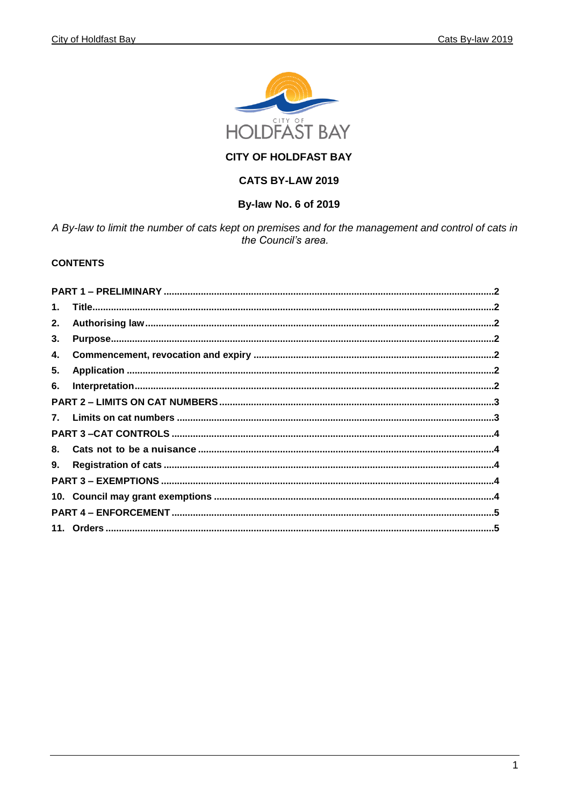

# **CITY OF HOLDFAST BAY**

# CATS BY-LAW 2019

### By-law No. 6 of 2019

A By-law to limit the number of cats kept on premises and for the management and control of cats in the Council's area.

### **CONTENTS**

| $\mathbf 1$ . |  |
|---------------|--|
| 2.            |  |
| 3.            |  |
| 4.            |  |
| 5.            |  |
| 6.            |  |
|               |  |
|               |  |
|               |  |
| 8.            |  |
| 9.            |  |
|               |  |
|               |  |
|               |  |
|               |  |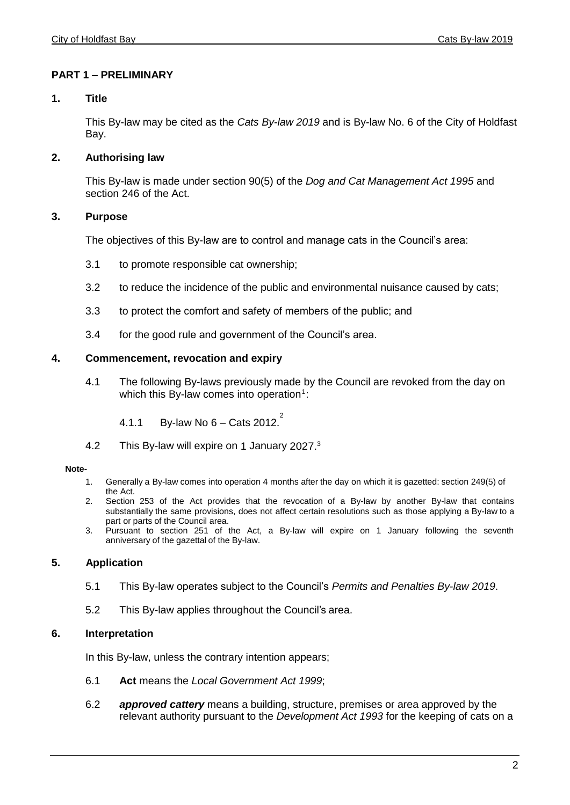## <span id="page-1-0"></span>**PART 1 – PRELIMINARY**

### <span id="page-1-1"></span>**1. Title**

This By-law may be cited as the *Cats By-law 2019* and is By-law No. 6 of the City of Holdfast Bay.

## <span id="page-1-2"></span>**2. Authorising law**

This By-law is made under section 90(5) of the *Dog and Cat Management Act 1995* and section 246 of the Act.

### <span id="page-1-3"></span>**3. Purpose**

The objectives of this By-law are to control and manage cats in the Council's area:

- 3.1 to promote responsible cat ownership;
- 3.2 to reduce the incidence of the public and environmental nuisance caused by cats;
- 3.3 to protect the comfort and safety of members of the public; and
- 3.4 for the good rule and government of the Council's area.

### <span id="page-1-4"></span>**4. Commencement, revocation and expiry**

4.1 The following By-laws previously made by the Council are revoked from the day on which this By-law comes into operation<sup>1</sup>:

4.1.1 By-law No 6 – Cats 2012.

4.2 This By-law will expire on 1 January 2027.<sup>3</sup>

### **Note-**

- 1. Generally a By-law comes into operation 4 months after the day on which it is gazetted: section 249(5) of the Act.
- 2. Section 253 of the Act provides that the revocation of a By-law by another By-law that contains substantially the same provisions, does not affect certain resolutions such as those applying a By-law to a part or parts of the Council area.
- <span id="page-1-5"></span>3. Pursuant to section 251 of the Act, a By-law will expire on 1 January following the seventh anniversary of the gazettal of the By-law.

## **5. Application**

- 5.1 This By-law operates subject to the Council's *Permits and Penalties By-law 2019*.
- 5.2 This By-law applies throughout the Council's area.

## <span id="page-1-6"></span>**6. Interpretation**

In this By-law, unless the contrary intention appears;

- 6.1 **Act** means the *Local Government Act 1999*;
- 6.2 *approved cattery* means a building, structure, premises or area approved by the relevant authority pursuant to the *Development Act 1993* for the keeping of cats on a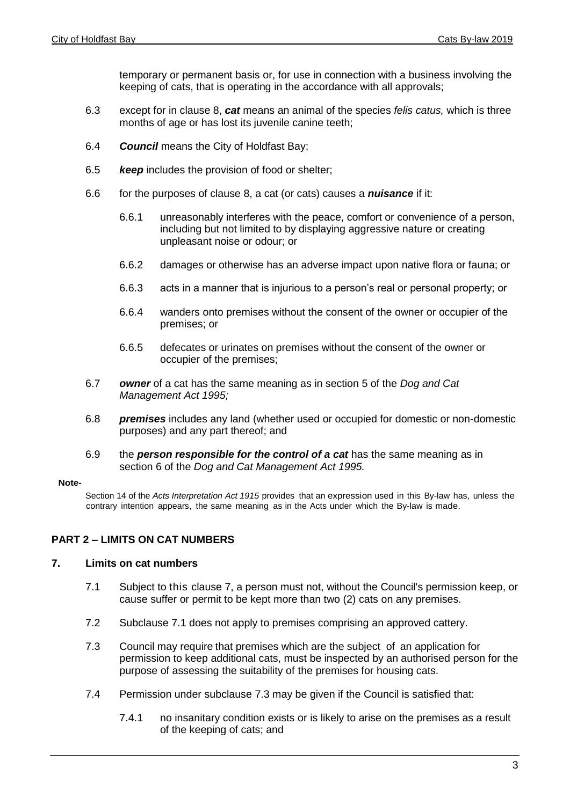temporary or permanent basis or, for use in connection with a business involving the keeping of cats, that is operating in the accordance with all approvals;

- 6.3 except for in clause 8, *cat* means an animal of the species *felis catus,* which is three months of age or has lost its juvenile canine teeth:
- 6.4 *Council* means the City of Holdfast Bay;
- 6.5 *keep* includes the provision of food or shelter;
- 6.6 for the purposes of clause 8, a cat (or cats) causes a *nuisance* if it:
	- 6.6.1 unreasonably interferes with the peace, comfort or convenience of a person, including but not limited to by displaying aggressive nature or creating unpleasant noise or odour; or
	- 6.6.2 damages or otherwise has an adverse impact upon native flora or fauna; or
	- 6.6.3 acts in a manner that is injurious to a person's real or personal property; or
	- 6.6.4 wanders onto premises without the consent of the owner or occupier of the premises; or
	- 6.6.5 defecates or urinates on premises without the consent of the owner or occupier of the premises;
- 6.7 *owner* of a cat has the same meaning as in section 5 of the *Dog and Cat Management Act 1995;*
- 6.8 *premises* includes any land (whether used or occupied for domestic or non-domestic purposes) and any part thereof; and
- 6.9 the *person responsible for the control of a cat* has the same meaning as in section 6 of the *Dog and Cat Management Act 1995.*

#### **Note-**

Section 14 of the *Acts Interpretation Act 1915* provides that an expression used in this By-law has, unless the contrary intention appears, the same meaning as in the Acts under which the By-law is made.

## <span id="page-2-0"></span>**PART 2 – LIMITS ON CAT NUMBERS**

## <span id="page-2-1"></span>**7. Limits on cat numbers**

- 7.1 Subject to this clause 7, a person must not, without the Council's permission keep, or cause suffer or permit to be kept more than two (2) cats on any premises.
- 7.2 Subclause 7.1 does not apply to premises comprising an approved cattery.
- 7.3 Council may require that premises which are the subject of an application for permission to keep additional cats, must be inspected by an authorised person for the purpose of assessing the suitability of the premises for housing cats.
- 7.4 Permission under subclause 7.3 may be given if the Council is satisfied that:
	- 7.4.1 no insanitary condition exists or is likely to arise on the premises as a result of the keeping of cats; and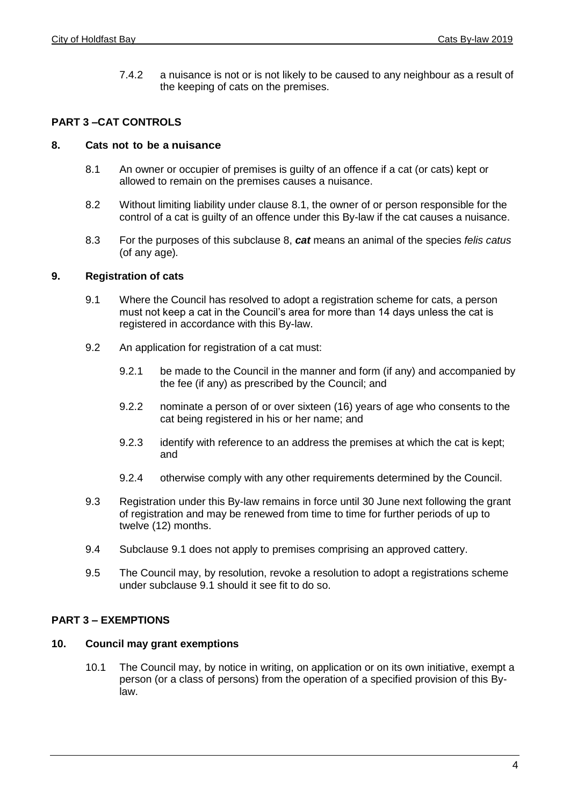7.4.2 a nuisance is not or is not likely to be caused to any neighbour as a result of the keeping of cats on the premises.

# <span id="page-3-0"></span>**PART 3 –CAT CONTROLS**

### <span id="page-3-1"></span>**8. Cats not to be a nuisance**

- 8.1 An owner or occupier of premises is guilty of an offence if a cat (or cats) kept or allowed to remain on the premises causes a nuisance.
- 8.2 Without limiting liability under clause 8.1, the owner of or person responsible for the control of a cat is guilty of an offence under this By-law if the cat causes a nuisance.
- 8.3 For the purposes of this subclause 8, *cat* means an animal of the species *felis catus* (of any age)*.*

### <span id="page-3-2"></span>**9. Registration of cats**

- 9.1 Where the Council has resolved to adopt a registration scheme for cats, a person must not keep a cat in the Council's area for more than 14 days unless the cat is registered in accordance with this By-law.
- 9.2 An application for registration of a cat must:
	- 9.2.1 be made to the Council in the manner and form (if any) and accompanied by the fee (if any) as prescribed by the Council; and
	- 9.2.2 nominate a person of or over sixteen (16) years of age who consents to the cat being registered in his or her name; and
	- 9.2.3 identify with reference to an address the premises at which the cat is kept; and
	- 9.2.4 otherwise comply with any other requirements determined by the Council.
- 9.3 Registration under this By-law remains in force until 30 June next following the grant of registration and may be renewed from time to time for further periods of up to twelve (12) months.
- 9.4 Subclause 9.1 does not apply to premises comprising an approved cattery.
- <span id="page-3-3"></span>9.5 The Council may, by resolution, revoke a resolution to adopt a registrations scheme under subclause 9.1 should it see fit to do so.

## **PART 3 – EXEMPTIONS**

### <span id="page-3-4"></span>**10. Council may grant exemptions**

10.1 The Council may, by notice in writing, on application or on its own initiative, exempt a person (or a class of persons) from the operation of a specified provision of this Bylaw.